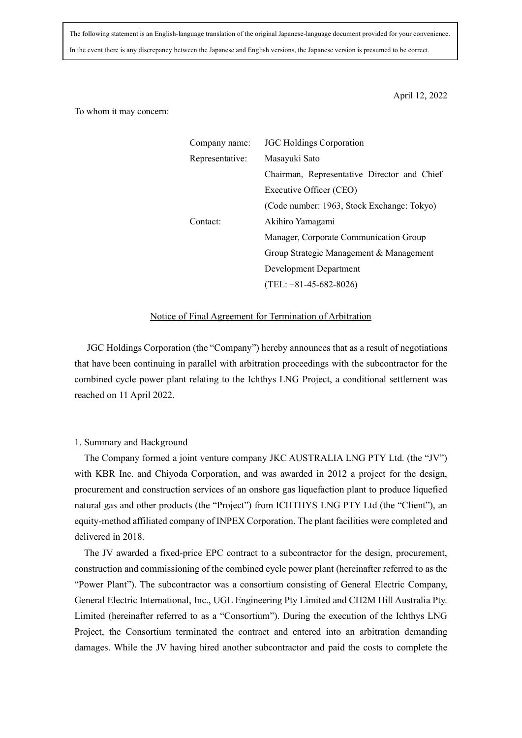The following statement is an English-language translation of the original Japanese-language document provided for your convenience. In the event there is any discrepancy between the Japanese and English versions, the Japanese version is presumed to be correct.

April 12, 2022

To whom it may concern:

| Company name:   | <b>JGC Holdings Corporation</b>             |
|-----------------|---------------------------------------------|
| Representative: | Masayuki Sato                               |
|                 | Chairman, Representative Director and Chief |
|                 | Executive Officer (CEO)                     |
|                 | (Code number: 1963, Stock Exchange: Tokyo)  |
| Contact:        | Akihiro Yamagami                            |
|                 | Manager, Corporate Communication Group      |
|                 | Group Strategic Management & Management     |
|                 | Development Department                      |
|                 | $(TEL: +81-45-682-8026)$                    |

## Notice of Final Agreement for Termination of Arbitration

JGC Holdings Corporation (the "Company") hereby announces that as a result of negotiations that have been continuing in parallel with arbitration proceedings with the subcontractor for the combined cycle power plant relating to the Ichthys LNG Project, a conditional settlement was reached on 11 April 2022.

## 1. Summary and Background

The Company formed a joint venture company JKC AUSTRALIA LNG PTY Ltd. (the "JV") with KBR Inc. and Chiyoda Corporation, and was awarded in 2012 a project for the design, procurement and construction services of an onshore gas liquefaction plant to produce liquefied natural gas and other products (the "Project") from ICHTHYS LNG PTY Ltd (the "Client"), an equity-method affiliated company of INPEX Corporation. The plant facilities were completed and delivered in 2018.

The JV awarded a fixed-price EPC contract to a subcontractor for the design, procurement, construction and commissioning of the combined cycle power plant (hereinafter referred to as the "Power Plant"). The subcontractor was a consortium consisting of General Electric Company, General Electric International, Inc., UGL Engineering Pty Limited and CH2M Hill Australia Pty. Limited (hereinafter referred to as a "Consortium"). During the execution of the Ichthys LNG Project, the Consortium terminated the contract and entered into an arbitration demanding damages. While the JV having hired another subcontractor and paid the costs to complete the